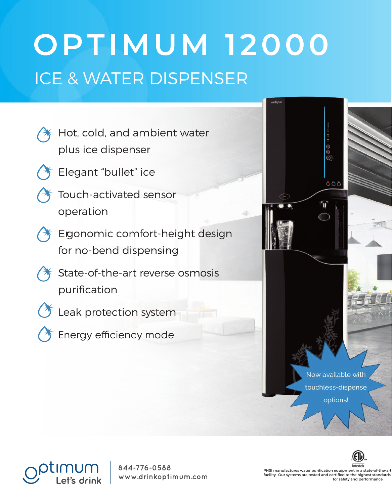## ICE & WATER DISPENSER **OPTIMUM 12000**

- Hot, cold, and ambient water plus ice dispenser
- Elegant "bullet" ice
- Touch-activated sensor operation
- Ergonomic comfort-height design for no-bend dispensing
	- State-of-the-art reverse osmosis purification
- 
- C<sup>+</sup> Leak protection system
- 
- Energy efficiency mode





630 Allendale Road, Suite 200 **844-776-0588** King of Prussia, PA 19406 855.474.7934 **www.drinkoptimum.com**

PHSI manufactures water purification equipment in a state-of-the-art facility. Our systems are tested and certified to the highest standards for safety and performance.